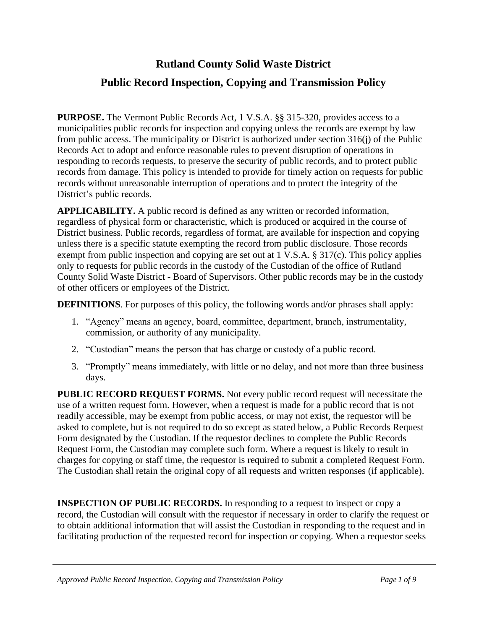## **Rutland County Solid Waste District**

## **Public Record Inspection, Copying and Transmission Policy**

**PURPOSE.** The Vermont Public Records Act, 1 V.S.A. §§ 315-320, provides access to a municipalities public records for inspection and copying unless the records are exempt by law from public access. The municipality or District is authorized under section 316(j) of the Public Records Act to adopt and enforce reasonable rules to prevent disruption of operations in responding to records requests, to preserve the security of public records, and to protect public records from damage. This policy is intended to provide for timely action on requests for public records without unreasonable interruption of operations and to protect the integrity of the District's public records.

**APPLICABILITY.** A public record is defined as any written or recorded information, regardless of physical form or characteristic, which is produced or acquired in the course of District business. Public records, regardless of format, are available for inspection and copying unless there is a specific statute exempting the record from public disclosure. Those records exempt from public inspection and copying are set out at 1 V.S.A. § 317(c). This policy applies only to requests for public records in the custody of the Custodian of the office of Rutland County Solid Waste District - Board of Supervisors. Other public records may be in the custody of other officers or employees of the District.

**DEFINITIONS**. For purposes of this policy, the following words and/or phrases shall apply:

- 1. "Agency" means an agency, board, committee, department, branch, instrumentality, commission, or authority of any municipality.
- 2. "Custodian" means the person that has charge or custody of a public record.
- 3. "Promptly" means immediately, with little or no delay, and not more than three business days.

**PUBLIC RECORD REQUEST FORMS.** Not every public record request will necessitate the use of a written request form. However, when a request is made for a public record that is not readily accessible, may be exempt from public access, or may not exist, the requestor will be asked to complete, but is not required to do so except as stated below, a Public Records Request Form designated by the Custodian. If the requestor declines to complete the Public Records Request Form, the Custodian may complete such form. Where a request is likely to result in charges for copying or staff time, the requestor is required to submit a completed Request Form. The Custodian shall retain the original copy of all requests and written responses (if applicable).

**INSPECTION OF PUBLIC RECORDS.** In responding to a request to inspect or copy a record, the Custodian will consult with the requestor if necessary in order to clarify the request or to obtain additional information that will assist the Custodian in responding to the request and in facilitating production of the requested record for inspection or copying. When a requestor seeks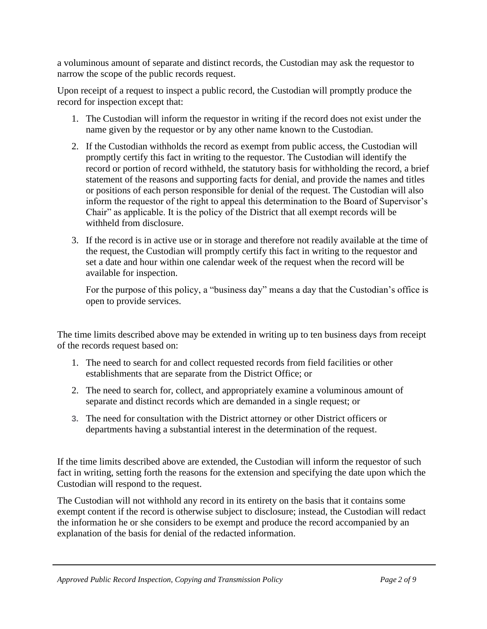a voluminous amount of separate and distinct records, the Custodian may ask the requestor to narrow the scope of the public records request.

Upon receipt of a request to inspect a public record, the Custodian will promptly produce the record for inspection except that:

- 1. The Custodian will inform the requestor in writing if the record does not exist under the name given by the requestor or by any other name known to the Custodian.
- 2. If the Custodian withholds the record as exempt from public access, the Custodian will promptly certify this fact in writing to the requestor. The Custodian will identify the record or portion of record withheld, the statutory basis for withholding the record, a brief statement of the reasons and supporting facts for denial, and provide the names and titles or positions of each person responsible for denial of the request. The Custodian will also inform the requestor of the right to appeal this determination to the Board of Supervisor's Chair" as applicable. It is the policy of the District that all exempt records will be withheld from disclosure.
- 3. If the record is in active use or in storage and therefore not readily available at the time of the request, the Custodian will promptly certify this fact in writing to the requestor and set a date and hour within one calendar week of the request when the record will be available for inspection.

For the purpose of this policy, a "business day" means a day that the Custodian's office is open to provide services.

The time limits described above may be extended in writing up to ten business days from receipt of the records request based on:

- 1. The need to search for and collect requested records from field facilities or other establishments that are separate from the District Office; or
- 2. The need to search for, collect, and appropriately examine a voluminous amount of separate and distinct records which are demanded in a single request; or
- **3.** The need for consultation with the District attorney or other District officers or departments having a substantial interest in the determination of the request.

If the time limits described above are extended, the Custodian will inform the requestor of such fact in writing, setting forth the reasons for the extension and specifying the date upon which the Custodian will respond to the request.

The Custodian will not withhold any record in its entirety on the basis that it contains some exempt content if the record is otherwise subject to disclosure; instead, the Custodian will redact the information he or she considers to be exempt and produce the record accompanied by an explanation of the basis for denial of the redacted information.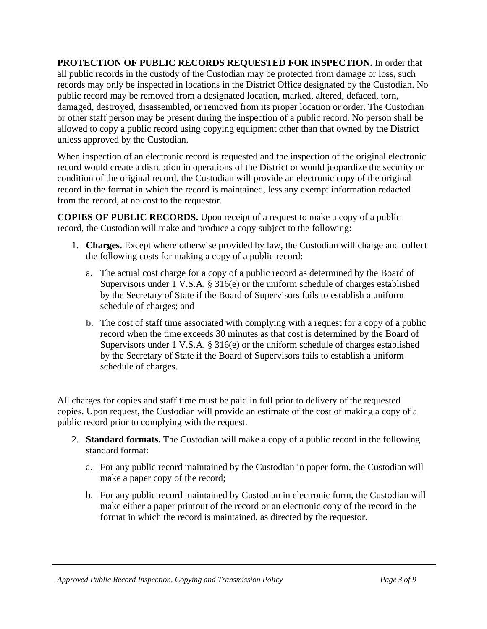**PROTECTION OF PUBLIC RECORDS REQUESTED FOR INSPECTION.** In order that all public records in the custody of the Custodian may be protected from damage or loss, such records may only be inspected in locations in the District Office designated by the Custodian. No public record may be removed from a designated location, marked, altered, defaced, torn, damaged, destroyed, disassembled, or removed from its proper location or order. The Custodian or other staff person may be present during the inspection of a public record. No person shall be allowed to copy a public record using copying equipment other than that owned by the District unless approved by the Custodian.

When inspection of an electronic record is requested and the inspection of the original electronic record would create a disruption in operations of the District or would jeopardize the security or condition of the original record, the Custodian will provide an electronic copy of the original record in the format in which the record is maintained, less any exempt information redacted from the record, at no cost to the requestor.

**COPIES OF PUBLIC RECORDS.** Upon receipt of a request to make a copy of a public record, the Custodian will make and produce a copy subject to the following:

- 1. **Charges.** Except where otherwise provided by law, the Custodian will charge and collect the following costs for making a copy of a public record:
	- a. The actual cost charge for a copy of a public record as determined by the Board of Supervisors under 1 V.S.A. § 316(e) or the uniform schedule of charges established by the Secretary of State if the Board of Supervisors fails to establish a uniform schedule of charges; and
	- **b.** The cost of staff time associated with complying with a request for a copy of a public record when the time exceeds 30 minutes as that cost is determined by the Board of Supervisors under 1 V.S.A. § 316(e) or the uniform schedule of charges established by the Secretary of State if the Board of Supervisors fails to establish a uniform schedule of charges.

All charges for copies and staff time must be paid in full prior to delivery of the requested copies. Upon request, the Custodian will provide an estimate of the cost of making a copy of a public record prior to complying with the request.

- 2. **Standard formats.** The Custodian will make a copy of a public record in the following standard format:
	- a. For any public record maintained by the Custodian in paper form, the Custodian will make a paper copy of the record;
	- b. For any public record maintained by Custodian in electronic form, the Custodian will make either a paper printout of the record or an electronic copy of the record in the format in which the record is maintained, as directed by the requestor.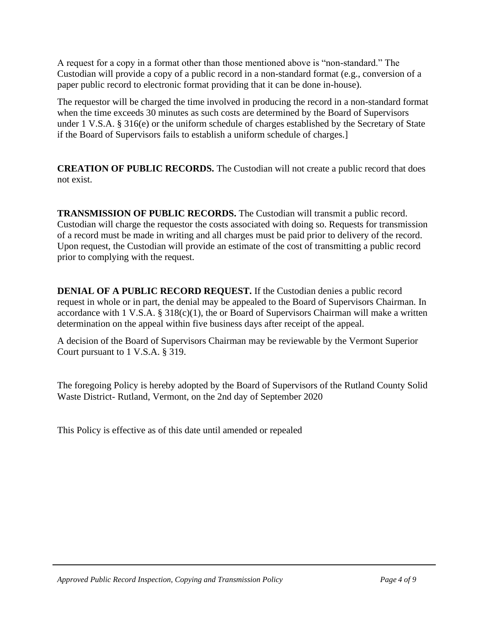A request for a copy in a format other than those mentioned above is "non-standard." The Custodian will provide a copy of a public record in a non-standard format (e.g., conversion of a paper public record to electronic format providing that it can be done in-house).

The requestor will be charged the time involved in producing the record in a non-standard format when the time exceeds 30 minutes as such costs are determined by the Board of Supervisors under 1 V.S.A. § 316(e) or the uniform schedule of charges established by the Secretary of State if the Board of Supervisors fails to establish a uniform schedule of charges.]

**CREATION OF PUBLIC RECORDS.** The Custodian will not create a public record that does not exist.

**TRANSMISSION OF PUBLIC RECORDS.** The Custodian will transmit a public record. Custodian will charge the requestor the costs associated with doing so. Requests for transmission of a record must be made in writing and all charges must be paid prior to delivery of the record. Upon request, the Custodian will provide an estimate of the cost of transmitting a public record prior to complying with the request.

**DENIAL OF A PUBLIC RECORD REQUEST.** If the Custodian denies a public record request in whole or in part, the denial may be appealed to the Board of Supervisors Chairman. In accordance with 1 V.S.A.  $\S 318(c)(1)$ , the or Board of Supervisors Chairman will make a written determination on the appeal within five business days after receipt of the appeal.

A decision of the Board of Supervisors Chairman may be reviewable by the Vermont Superior Court pursuant to 1 V.S.A. § 319.

The foregoing Policy is hereby adopted by the Board of Supervisors of the Rutland County Solid Waste District- Rutland, Vermont, on the 2nd day of September 2020

This Policy is effective as of this date until amended or repealed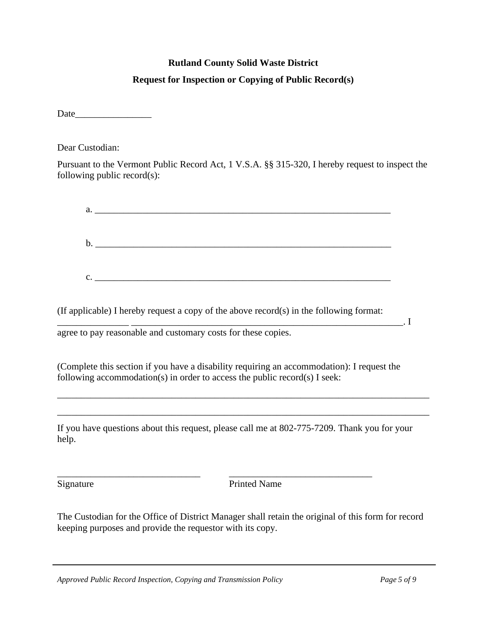# **Rutland County Solid Waste District Request for Inspection or Copying of Public Record(s)**

Date and  $\overline{\phantom{a}}$ 

Dear Custodian:

Pursuant to the Vermont Public Record Act, 1 V.S.A. §§ 315-320, I hereby request to inspect the following public record(s):

| $\mathbf{b}$ . |  |  |
|----------------|--|--|
|                |  |  |
|                |  |  |
|                |  |  |

 $\mathbf{I}_{\mathcal{A}}$ 

(If applicable) I hereby request a copy of the above record(s) in the following format:

agree to pay reasonable and customary costs for these copies.

(Complete this section if you have a disability requiring an accommodation): I request the following accommodation(s) in order to access the public record(s) I seek:

If you have questions about this request, please call me at 802-775-7209. Thank you for your help.

\_\_\_\_\_\_\_\_\_\_\_\_\_\_\_\_\_\_\_\_\_\_\_\_\_\_\_\_\_\_\_\_\_\_\_\_\_\_\_\_\_\_\_\_\_\_\_\_\_\_\_\_\_\_\_\_\_\_\_\_\_\_\_\_\_\_\_\_\_\_\_\_\_\_\_\_\_\_

\_\_\_\_\_\_\_\_\_\_\_\_\_\_\_\_\_\_\_\_\_\_\_\_\_\_\_\_\_\_\_\_\_\_\_\_\_\_\_\_\_\_\_\_\_\_\_\_\_\_\_\_\_\_\_\_\_\_\_\_\_\_\_\_\_\_\_\_\_\_\_\_\_\_\_\_\_\_

Signature Printed Name

The Custodian for the Office of District Manager shall retain the original of this form for record keeping purposes and provide the requestor with its copy.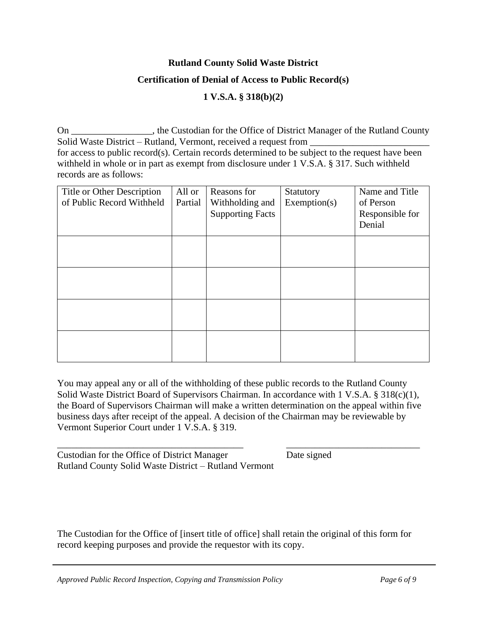#### **Rutland County Solid Waste District**

#### **Certification of Denial of Access to Public Record(s)**

#### **1 V.S.A. § 318(b)(2)**

On \_\_\_\_\_\_\_\_\_\_\_\_\_\_\_\_\_, the Custodian for the Office of District Manager of the Rutland County Solid Waste District – Rutland, Vermont, received a request from for access to public record(s). Certain records determined to be subject to the request have been withheld in whole or in part as exempt from disclosure under 1 V.S.A. § 317. Such withheld records are as follows:

| Title or Other Description<br>of Public Record Withheld | All or<br>Partial | Reasons for<br>Withholding and<br><b>Supporting Facts</b> | Statutory<br>Exemption(s) | Name and Title<br>of Person<br>Responsible for |
|---------------------------------------------------------|-------------------|-----------------------------------------------------------|---------------------------|------------------------------------------------|
|                                                         |                   |                                                           |                           | Denial                                         |
|                                                         |                   |                                                           |                           |                                                |
|                                                         |                   |                                                           |                           |                                                |
|                                                         |                   |                                                           |                           |                                                |
|                                                         |                   |                                                           |                           |                                                |
|                                                         |                   |                                                           |                           |                                                |

You may appeal any or all of the withholding of these public records to the Rutland County Solid Waste District Board of Supervisors Chairman. In accordance with 1 V.S.A. § 318(c)(1), the Board of Supervisors Chairman will make a written determination on the appeal within five business days after receipt of the appeal. A decision of the Chairman may be reviewable by Vermont Superior Court under 1 V.S.A. § 319.

\_\_\_\_\_\_\_\_\_\_\_\_\_\_\_\_\_\_\_\_\_\_\_\_\_\_\_\_\_\_\_\_\_\_\_\_\_\_\_ \_\_\_\_\_\_\_\_\_\_\_\_\_\_\_\_\_\_\_\_\_\_\_\_\_\_\_\_

Custodian for the Office of District Manager Date signed Rutland County Solid Waste District – Rutland Vermont

The Custodian for the Office of [insert title of office] shall retain the original of this form for record keeping purposes and provide the requestor with its copy.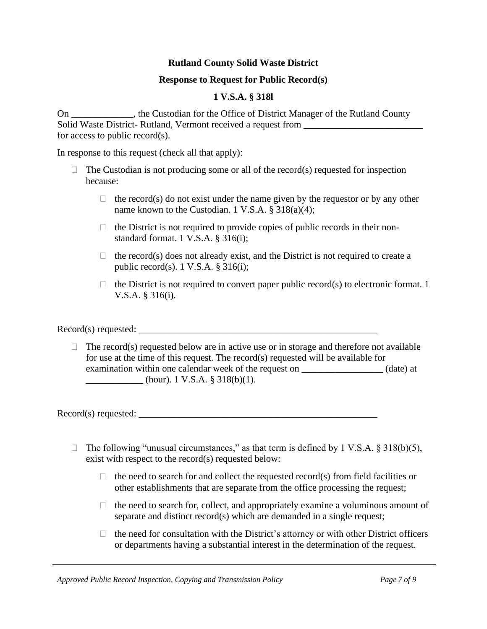#### **Rutland County Solid Waste District**

#### **Response to Request for Public Record(s)**

### **1 V.S.A. § 318l**

On \_\_\_\_\_\_\_\_\_\_\_\_\_, the Custodian for the Office of District Manager of the Rutland County Solid Waste District- Rutland, Vermont received a request from for access to public record(s).

In response to this request (check all that apply):

- $\Box$  The Custodian is not producing some or all of the record(s) requested for inspection because:
	- $\Box$  the record(s) do not exist under the name given by the requestor or by any other name known to the Custodian. 1 V.S.A. § 318(a)(4);
	- $\Box$  the District is not required to provide copies of public records in their nonstandard format. 1 V.S.A. § 316(i);
	- $\Box$  the record(s) does not already exist, and the District is not required to create a public record(s).  $1 \text{ V.S.A. }$ § 316(i);
	- $\Box$  the District is not required to convert paper public record(s) to electronic format. 1 V.S.A. § 316(i).

Record(s) requested:

 $\Box$  The record(s) requested below are in active use or in storage and therefore not available for use at the time of this request. The record(s) requested will be available for examination within one calendar week of the request on \_\_\_\_\_\_\_\_\_\_\_\_\_\_\_\_\_ (date) at  $\frac{1}{1}$  V.S.A. § 318(b)(1).

 $\text{Record}(s)$  requested:

- $\Box$  The following "unusual circumstances," as that term is defined by 1 V.S.A. § 318(b)(5), exist with respect to the record(s) requested below:
	- $\Box$  the need to search for and collect the requested record(s) from field facilities or other establishments that are separate from the office processing the request;
	- $\Box$  the need to search for, collect, and appropriately examine a voluminous amount of separate and distinct record(s) which are demanded in a single request;
	- $\Box$  the need for consultation with the District's attorney or with other District officers or departments having a substantial interest in the determination of the request.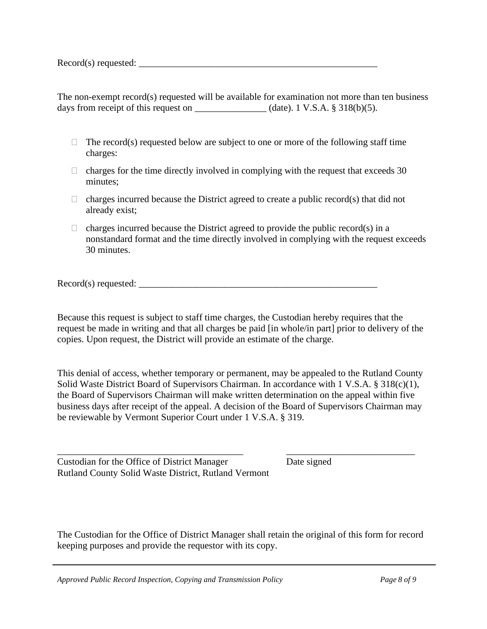Record(s) requested: \_\_\_\_\_\_\_\_\_\_\_\_\_\_\_\_\_\_\_\_\_\_\_\_\_\_\_\_\_\_\_\_\_\_\_\_\_\_\_\_\_\_\_\_\_\_\_\_\_\_

The non-exempt record(s) requested will be available for examination not more than ten business days from receipt of this request on  $\_\_\_\_\_\_$  (date). 1 V.S.A. § 318(b)(5).

- $\Box$  The record(s) requested below are subject to one or more of the following staff time charges:
- $\Box$  charges for the time directly involved in complying with the request that exceeds 30 minutes;
- $\Box$  charges incurred because the District agreed to create a public record(s) that did not already exist;
- $\Box$  charges incurred because the District agreed to provide the public record(s) in a nonstandard format and the time directly involved in complying with the request exceeds 30 minutes.

Record(s) requested: \_\_\_\_\_\_\_\_\_\_\_\_\_\_\_\_\_\_\_\_\_\_\_\_\_\_\_\_\_\_\_\_\_\_\_\_\_\_\_\_\_\_\_\_\_\_\_\_\_\_

Because this request is subject to staff time charges, the Custodian hereby requires that the request be made in writing and that all charges be paid [in whole/in part] prior to delivery of the copies. Upon request, the District will provide an estimate of the charge.

This denial of access, whether temporary or permanent, may be appealed to the Rutland County Solid Waste District Board of Supervisors Chairman. In accordance with 1 V.S.A. § 318(c)(1), the Board of Supervisors Chairman will make written determination on the appeal within five business days after receipt of the appeal. A decision of the Board of Supervisors Chairman may be reviewable by Vermont Superior Court under 1 V.S.A. § 319.

\_\_\_\_\_\_\_\_\_\_\_\_\_\_\_\_\_\_\_\_\_\_\_\_\_\_\_\_\_\_\_\_\_\_\_\_\_\_\_ \_\_\_\_\_\_\_\_\_\_\_\_\_\_\_\_\_\_\_\_\_\_\_\_\_\_\_

Custodian for the Office of District Manager Date signed Rutland County Solid Waste District, Rutland Vermont

The Custodian for the Office of District Manager shall retain the original of this form for record keeping purposes and provide the requestor with its copy.